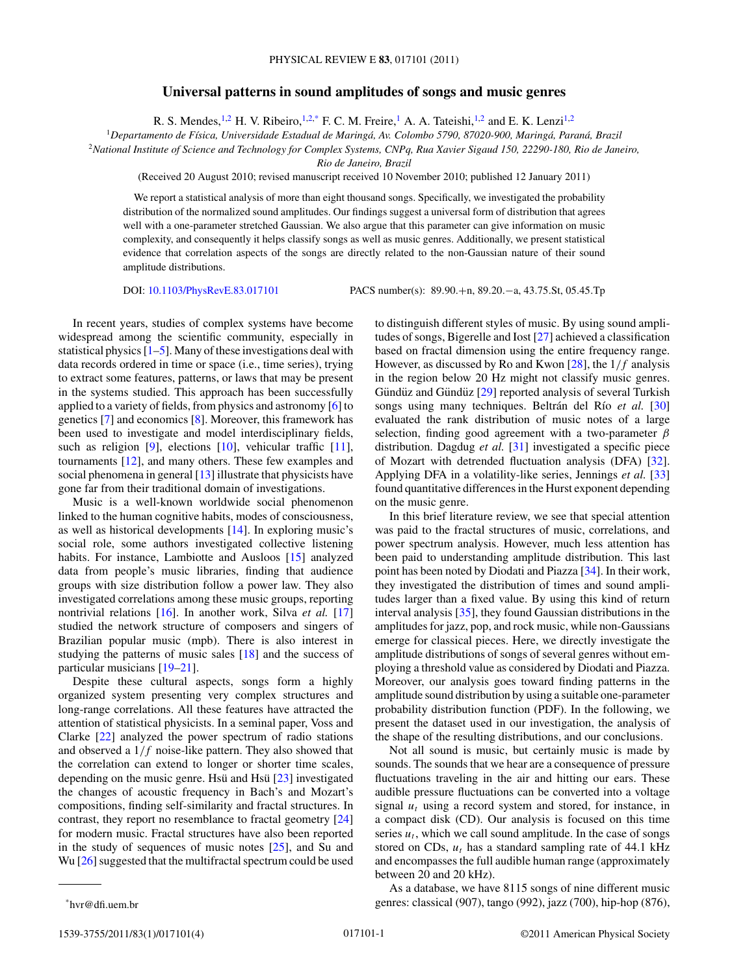## **Universal patterns in sound amplitudes of songs and music genres**

R. S. Mendes, <sup>1,2</sup> H. V. Ribeiro, <sup>1,2,\*</sup> F. C. M. Freire, <sup>1</sup> A. A. Tateishi, <sup>1,2</sup> and E. K. Lenzi<sup>1,2</sup>

<sup>1</sup>*Departamento de F´ısica, Universidade Estadual de Maringa, Av. Colombo 5790, 87020-900, Maring ´ a, Paran ´ a, Brazil ´*

<sup>2</sup>*National Institute of Science and Technology for Complex Systems, CNPq, Rua Xavier Sigaud 150, 22290-180, Rio de Janeiro,*

*Rio de Janeiro, Brazil*

(Received 20 August 2010; revised manuscript received 10 November 2010; published 12 January 2011)

We report a statistical analysis of more than eight thousand songs. Specifically, we investigated the probability distribution of the normalized sound amplitudes. Our findings suggest a universal form of distribution that agrees well with a one-parameter stretched Gaussian. We also argue that this parameter can give information on music complexity, and consequently it helps classify songs as well as music genres. Additionally, we present statistical evidence that correlation aspects of the songs are directly related to the non-Gaussian nature of their sound amplitude distributions.

DOI: [10.1103/PhysRevE.83.017101](http://dx.doi.org/10.1103/PhysRevE.83.017101) PACS number(s): 89*.*90*.*+n, 89*.*20*.*−a, 43*.*75*.*St, 05*.*45*.*Tp

In recent years, studies of complex systems have become widespread among the scientific community, especially in statistical physics  $[1–5]$ . Many of these investigations deal with data records ordered in time or space (i.e., time series), trying to extract some features, patterns, or laws that may be present in the systems studied. This approach has been successfully applied to a variety of fields, from physics and astronomy [\[6\]](#page-3-0) to genetics [\[7\]](#page-3-0) and economics [\[8\]](#page-3-0). Moreover, this framework has been used to investigate and model interdisciplinary fields, such as religion [\[9\]](#page-3-0), elections [\[10\]](#page-3-0), vehicular traffic [\[11\]](#page-3-0), tournaments [\[12\]](#page-3-0), and many others. These few examples and social phenomena in general [\[13\]](#page-3-0) illustrate that physicists have gone far from their traditional domain of investigations.

Music is a well-known worldwide social phenomenon linked to the human cognitive habits, modes of consciousness, as well as historical developments [\[14\]](#page-3-0). In exploring music's social role, some authors investigated collective listening habits. For instance, Lambiotte and Ausloos [\[15\]](#page-3-0) analyzed data from people's music libraries, finding that audience groups with size distribution follow a power law. They also investigated correlations among these music groups, reporting nontrivial relations [\[16\]](#page-3-0). In another work, Silva *et al.* [\[17\]](#page-3-0) studied the network structure of composers and singers of Brazilian popular music (mpb). There is also interest in studying the patterns of music sales [\[18\]](#page-3-0) and the success of particular musicians [\[19–21\]](#page-3-0).

Despite these cultural aspects, songs form a highly organized system presenting very complex structures and long-range correlations. All these features have attracted the attention of statistical physicists. In a seminal paper, Voss and Clarke [\[22\]](#page-3-0) analyzed the power spectrum of radio stations and observed a 1*/f* noise-like pattern. They also showed that the correlation can extend to longer or shorter time scales, depending on the music genre. Hsu and Hsu  $[23]$  $[23]$  investigated the changes of acoustic frequency in Bach's and Mozart's compositions, finding self-similarity and fractal structures. In contrast, they report no resemblance to fractal geometry [\[24\]](#page-3-0) for modern music. Fractal structures have also been reported in the study of sequences of music notes [\[25\]](#page-3-0), and Su and Wu [\[26\]](#page-3-0) suggested that the multifractal spectrum could be used to distinguish different styles of music. By using sound amplitudes of songs, Bigerelle and Iost [\[27\]](#page-3-0) achieved a classification based on fractal dimension using the entire frequency range. However, as discussed by Ro and Kwon [\[28\]](#page-3-0), the 1*/f* analysis in the region below 20 Hz might not classify music genres. Gündüz and Gündüz [[29\]](#page-3-0) reported analysis of several Turkish songs using many techniques. Beltrán del Río *et al.* [\[30\]](#page-3-0) evaluated the rank distribution of music notes of a large selection, finding good agreement with a two-parameter *β* distribution. Dagdug *et al.* [\[31\]](#page-3-0) investigated a specific piece of Mozart with detrended fluctuation analysis (DFA) [\[32\]](#page-3-0). Applying DFA in a volatility-like series, Jennings *et al.* [\[33\]](#page-3-0) found quantitative differences in the Hurst exponent depending on the music genre.

In this brief literature review, we see that special attention was paid to the fractal structures of music, correlations, and power spectrum analysis. However, much less attention has been paid to understanding amplitude distribution. This last point has been noted by Diodati and Piazza [\[34\]](#page-3-0). In their work, they investigated the distribution of times and sound amplitudes larger than a fixed value. By using this kind of return interval analysis [\[35\]](#page-3-0), they found Gaussian distributions in the amplitudes for jazz, pop, and rock music, while non-Gaussians emerge for classical pieces. Here, we directly investigate the amplitude distributions of songs of several genres without employing a threshold value as considered by Diodati and Piazza. Moreover, our analysis goes toward finding patterns in the amplitude sound distribution by using a suitable one-parameter probability distribution function (PDF). In the following, we present the dataset used in our investigation, the analysis of the shape of the resulting distributions, and our conclusions.

Not all sound is music, but certainly music is made by sounds. The sounds that we hear are a consequence of pressure fluctuations traveling in the air and hitting our ears. These audible pressure fluctuations can be converted into a voltage signal  $u_t$  using a record system and stored, for instance, in a compact disk (CD). Our analysis is focused on this time series  $u_t$ , which we call sound amplitude. In the case of songs stored on CDs,  $u_t$  has a standard sampling rate of 44.1 kHz and encompasses the full audible human range (approximately between 20 and 20 kHz).

As a database, we have 8115 songs of nine different music genres: classical (907), tango (992), jazz (700), hip-hop (876),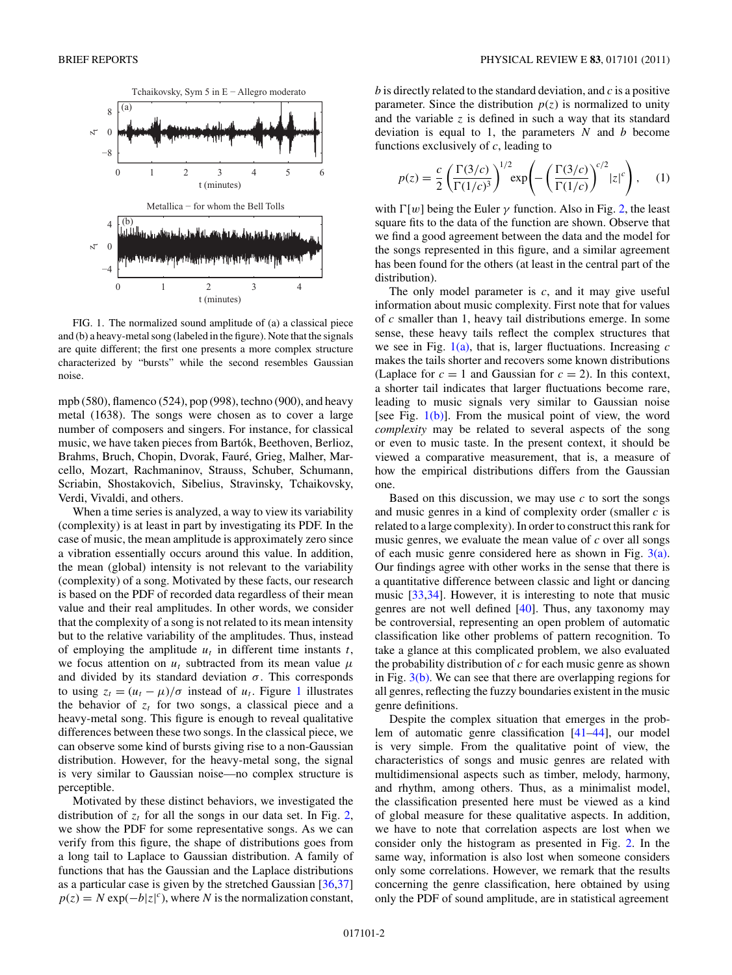<span id="page-1-0"></span>

FIG. 1. The normalized sound amplitude of (a) a classical piece and (b) a heavy-metal song (labeled in the figure). Note that the signals are quite different; the first one presents a more complex structure characterized by "bursts" while the second resembles Gaussian noise.

mpb (580), flamenco (524), pop (998), techno (900), and heavy metal (1638). The songs were chosen as to cover a large number of composers and singers. For instance, for classical music, we have taken pieces from Bartók, Beethoven, Berlioz, Brahms, Bruch, Chopin, Dvorak, Fauré, Grieg, Malher, Marcello, Mozart, Rachmaninov, Strauss, Schuber, Schumann, Scriabin, Shostakovich, Sibelius, Stravinsky, Tchaikovsky, Verdi, Vivaldi, and others.

When a time series is analyzed, a way to view its variability (complexity) is at least in part by investigating its PDF. In the case of music, the mean amplitude is approximately zero since a vibration essentially occurs around this value. In addition, the mean (global) intensity is not relevant to the variability (complexity) of a song. Motivated by these facts, our research is based on the PDF of recorded data regardless of their mean value and their real amplitudes. In other words, we consider that the complexity of a song is not related to its mean intensity but to the relative variability of the amplitudes. Thus, instead of employing the amplitude  $u_t$  in different time instants  $t$ , we focus attention on  $u_t$  subtracted from its mean value  $\mu$ and divided by its standard deviation  $\sigma$ . This corresponds to using  $z_t = (u_t - \mu)/\sigma$  instead of  $u_t$ . Figure 1 illustrates the behavior of  $z_t$  for two songs, a classical piece and a heavy-metal song. This figure is enough to reveal qualitative differences between these two songs. In the classical piece, we can observe some kind of bursts giving rise to a non-Gaussian distribution. However, for the heavy-metal song, the signal is very similar to Gaussian noise—no complex structure is perceptible.

Motivated by these distinct behaviors, we investigated the distribution of  $z_t$  for all the songs in our data set. In Fig. [2,](#page-2-0) we show the PDF for some representative songs. As we can verify from this figure, the shape of distributions goes from a long tail to Laplace to Gaussian distribution. A family of functions that has the Gaussian and the Laplace distributions as a particular case is given by the stretched Gaussian [\[36,37\]](#page-3-0)  $p(z) = N \exp(-b|z|^c)$ , where *N* is the normalization constant,

*b* is directly related to the standard deviation, and *c* is a positive parameter. Since the distribution  $p(z)$  is normalized to unity and the variable *z* is defined in such a way that its standard deviation is equal to 1, the parameters *N* and *b* become functions exclusively of *c*, leading to

$$
p(z) = \frac{c}{2} \left( \frac{\Gamma(3/c)}{\Gamma(1/c)^3} \right)^{1/2} \exp\left(-\left(\frac{\Gamma(3/c)}{\Gamma(1/c)}\right)^{c/2} |z|^c\right), \quad (1)
$$

with  $\Gamma[w]$  being the Euler  $\gamma$  function. Also in Fig. [2,](#page-2-0) the least square fits to the data of the function are shown. Observe that we find a good agreement between the data and the model for the songs represented in this figure, and a similar agreement has been found for the others (at least in the central part of the distribution).

The only model parameter is *c*, and it may give useful information about music complexity. First note that for values of *c* smaller than 1, heavy tail distributions emerge. In some sense, these heavy tails reflect the complex structures that we see in Fig. 1(a), that is, larger fluctuations. Increasing *c* makes the tails shorter and recovers some known distributions (Laplace for  $c = 1$  and Gaussian for  $c = 2$ ). In this context, a shorter tail indicates that larger fluctuations become rare, leading to music signals very similar to Gaussian noise [see Fig.  $1(b)$ ]. From the musical point of view, the word *complexity* may be related to several aspects of the song or even to music taste. In the present context, it should be viewed a comparative measurement, that is, a measure of how the empirical distributions differs from the Gaussian one.

Based on this discussion, we may use  $c$  to sort the songs and music genres in a kind of complexity order (smaller *c* is related to a large complexity). In order to construct this rank for music genres, we evaluate the mean value of *c* over all songs of each music genre considered here as shown in Fig. [3\(a\).](#page-2-0) Our findings agree with other works in the sense that there is a quantitative difference between classic and light or dancing music [\[33,34\]](#page-3-0). However, it is interesting to note that music genres are not well defined [\[40\]](#page-3-0). Thus, any taxonomy may be controversial, representing an open problem of automatic classification like other problems of pattern recognition. To take a glance at this complicated problem, we also evaluated the probability distribution of *c* for each music genre as shown in Fig. [3\(b\).](#page-2-0) We can see that there are overlapping regions for all genres, reflecting the fuzzy boundaries existent in the music genre definitions.

Despite the complex situation that emerges in the problem of automatic genre classification [\[41–44\]](#page-3-0), our model is very simple. From the qualitative point of view, the characteristics of songs and music genres are related with multidimensional aspects such as timber, melody, harmony, and rhythm, among others. Thus, as a minimalist model, the classification presented here must be viewed as a kind of global measure for these qualitative aspects. In addition, we have to note that correlation aspects are lost when we consider only the histogram as presented in Fig. [2.](#page-2-0) In the same way, information is also lost when someone considers only some correlations. However, we remark that the results concerning the genre classification, here obtained by using only the PDF of sound amplitude, are in statistical agreement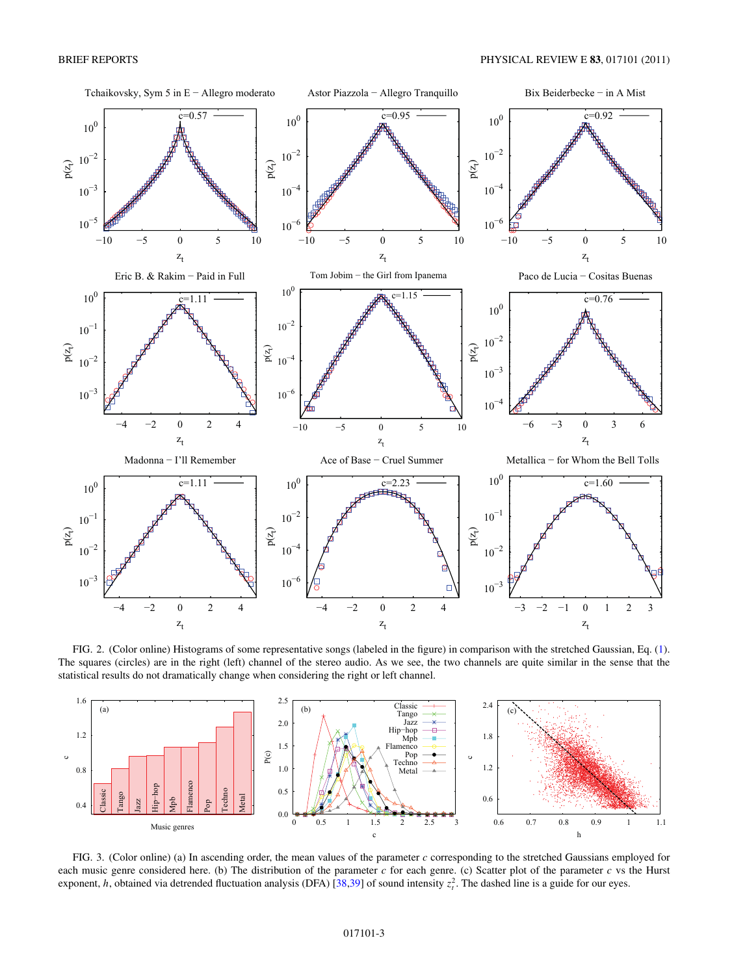<span id="page-2-0"></span>

FIG. 2. (Color online) Histograms of some representative songs (labeled in the figure) in comparison with the stretched Gaussian, Eq. [\(1\)](#page-1-0). The squares (circles) are in the right (left) channel of the stereo audio. As we see, the two channels are quite similar in the sense that the statistical results do not dramatically change when considering the right or left channel.



FIG. 3. (Color online) (a) In ascending order, the mean values of the parameter *c* corresponding to the stretched Gaussians employed for each music genre considered here. (b) The distribution of the parameter *c* for each genre. (c) Scatter plot of the parameter *c* vs the Hurst exponent, *h*, obtained via detrended fluctuation analysis (DFA) [\[38,39\]](#page-3-0) of sound intensity  $z<sub>t</sub><sup>2</sup>$ . The dashed line is a guide for our eyes.